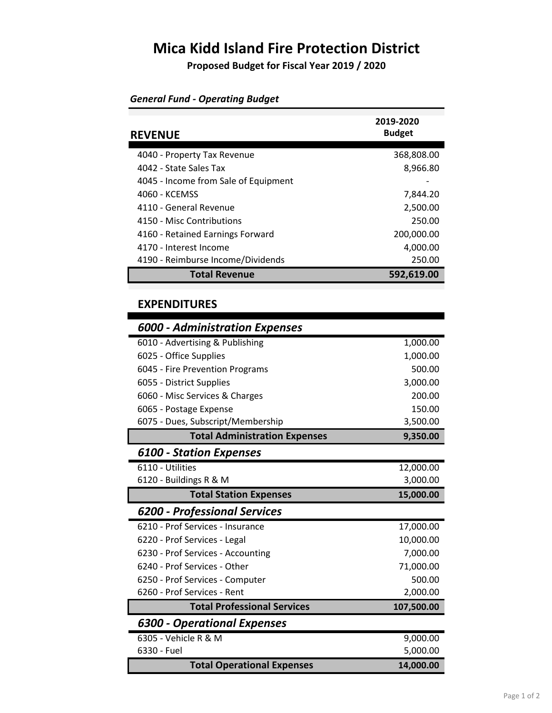## **Mica Kidd Island Fire Protection District**

**Proposed Budget for Fiscal Year 2019 / 2020**

| <b>REVENUE</b>                       | 2019-2020<br><b>Budget</b> |
|--------------------------------------|----------------------------|
|                                      |                            |
| 4040 - Property Tax Revenue          | 368,808.00                 |
| 4042 - State Sales Tax               | 8,966.80                   |
| 4045 - Income from Sale of Equipment |                            |
| 4060 - KCEMSS                        | 7,844.20                   |
| 4110 - General Revenue               | 2,500.00                   |
| 4150 - Misc Contributions            | 250.00                     |
| 4160 - Retained Earnings Forward     | 200,000.00                 |
| 4170 - Interest Income               | 4,000.00                   |
| 4190 - Reimburse Income/Dividends    | 250.00                     |
| <b>Total Revenue</b>                 | 592,619.00                 |

## *General Fund - Operating Budget*

## **EXPENDITURES**

| <b>6000 - Administration Expenses</b> |            |
|---------------------------------------|------------|
| 6010 - Advertising & Publishing       | 1,000.00   |
| 6025 - Office Supplies                | 1,000.00   |
| 6045 - Fire Prevention Programs       | 500.00     |
| 6055 - District Supplies              | 3,000.00   |
| 6060 - Misc Services & Charges        | 200.00     |
| 6065 - Postage Expense                | 150.00     |
| 6075 - Dues, Subscript/Membership     | 3,500.00   |
| <b>Total Administration Expenses</b>  | 9,350.00   |
| <b>6100 - Station Expenses</b>        |            |
| 6110 - Utilities                      | 12,000.00  |
| 6120 - Buildings R & M                | 3,000.00   |
| <b>Total Station Expenses</b>         | 15,000.00  |
| <b>6200 - Professional Services</b>   |            |
|                                       |            |
| 6210 - Prof Services - Insurance      | 17,000.00  |
| 6220 - Prof Services - Legal          | 10,000.00  |
| 6230 - Prof Services - Accounting     | 7,000.00   |
| 6240 - Prof Services - Other          | 71,000.00  |
| 6250 - Prof Services - Computer       | 500.00     |
| 6260 - Prof Services - Rent           | 2,000.00   |
| <b>Total Professional Services</b>    | 107,500.00 |
| <b>6300 - Operational Expenses</b>    |            |
| 6305 - Vehicle R & M                  | 9,000.00   |
| 6330 - Fuel                           | 5,000.00   |